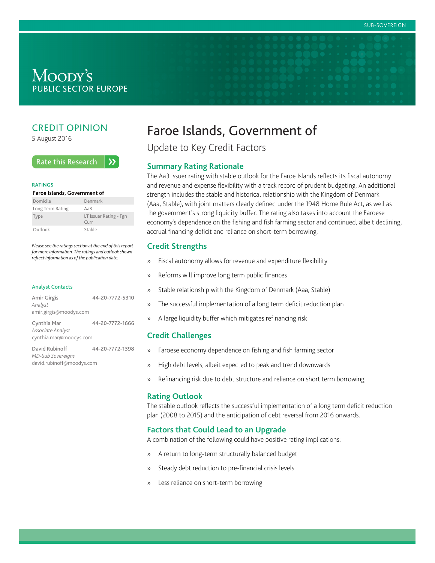# Moody's **PUBLIC SECTOR EUROPE**

# CREDIT OPINION

5 August 2016

#### **Rate this Research**  $\lambda$

#### **RATINGS**

#### **Faroe Islands, Government of**

| Domicile         | Denmark                                          |
|------------------|--------------------------------------------------|
| Long Term Rating | Aa3                                              |
| Type             | LT Issuer Rating - Fgn<br>$C$ <sub>III</sub> $r$ |
| Outlook          | Stable                                           |

*Please see the ratings section at the end of this report for more information. The ratings and outlook shown reflect information as of the publication date.*

#### Analyst Contacts

| Amir Girgis<br>Analyst<br>amir.girgis@moodys.com           | 44-20-7772-5310 |
|------------------------------------------------------------|-----------------|
| Cynthia Mar<br>Associate Analyst<br>cynthia.mar@moodys.com | 44-20-7772-1666 |
| David Rubinoff                                             | 44-20-7772-1398 |

*MD-Sub Sovereigns* david.rubinoff@moodys.com

# Faroe Islands, Government of

Update to Key Credit Factors

#### **Summary Rating Rationale**

The Aa3 issuer rating with stable outlook for the Faroe Islands reflects its fiscal autonomy and revenue and expense flexibility with a track record of prudent budgeting. An additional strength includes the stable and historical relationship with the Kingdom of Denmark (Aaa, Stable), with joint matters clearly defined under the 1948 Home Rule Act, as well as the government's strong liquidity buffer. The rating also takes into account the Faroese economy's dependence on the fishing and fish farming sector and continued, albeit declining, accrual financing deficit and reliance on short-term borrowing.

## **Credit Strengths**

- » Fiscal autonomy allows for revenue and expenditure flexibility
- » Reforms will improve long term public finances
- » Stable relationship with the Kingdom of Denmark (Aaa, Stable)
- » The successful implementation of a long term deficit reduction plan
- » A large liquidity buffer which mitigates refinancing risk

# **Credit Challenges**

- » Faroese economy dependence on fishing and fish farming sector
- » High debt levels, albeit expected to peak and trend downwards
- » Refinancing risk due to debt structure and reliance on short term borrowing

#### **Rating Outlook**

The stable outlook reflects the successful implementation of a long term deficit reduction plan (2008 to 2015) and the anticipation of debt reversal from 2016 onwards.

# **Factors that Could Lead to an Upgrade**

A combination of the following could have positive rating implications:

- » A return to long-term structurally balanced budget
- » Steady debt reduction to pre-financial crisis levels
- » Less reliance on short-term borrowing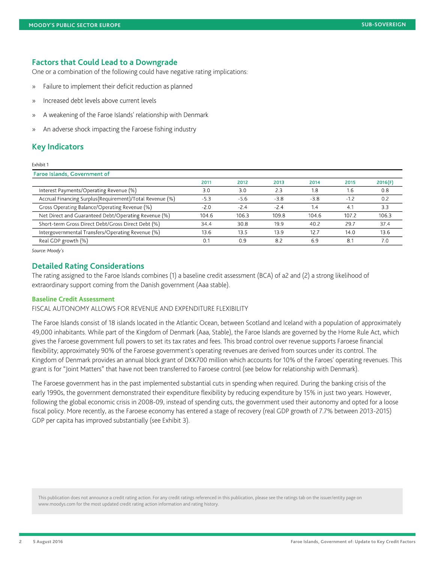#### **Factors that Could Lead to a Downgrade**

One or a combination of the following could have negative rating implications:

- » Failure to implement their deficit reduction as planned
- » Increased debt levels above current levels
- » A weakening of the Faroe Islands' relationship with Denmark
- » An adverse shock impacting the Faroese fishing industry

# **Key Indicators**

#### Exhibit 1

| <b>Faroe Islands, Government of</b>                      |        |        |        |        |        |         |
|----------------------------------------------------------|--------|--------|--------|--------|--------|---------|
|                                                          | 2011   | 2012   | 2013   | 2014   | 2015   | 2016(F) |
| Interest Payments/Operating Revenue (%)                  | 3.0    | 3.0    | 2.3    | 1.8    | 1.6    | 0.8     |
| Accrual Financing Surplus(Requirement)/Total Revenue (%) | $-5.3$ | $-5.6$ | $-3.8$ | $-3.8$ | $-1.2$ | 0.2     |
| Gross Operating Balance/Operating Revenue (%)            | $-2.0$ | $-2.4$ | $-2.4$ | 1.4    | 4.1    | 3.3     |
| Net Direct and Guaranteed Debt/Operating Revenue (%)     | 104.6  | 106.3  | 109.8  | 104.6  | 107.2  | 106.3   |
| Short-term Gross Direct Debt/Gross Direct Debt (%)       | 34.4   | 30.8   | 19.9   | 40.2   | 29.7   | 37.4    |
| Intergovernmental Transfers/Operating Revenue (%)        | 13.6   | 13.5   | 13.9   | 12.7   | 14.0   | 13.6    |
| Real GDP growth (%)                                      |        | 0.9    | 8.2    | 6.9    | 8.1    | 7.0     |
|                                                          |        |        |        |        |        |         |

*Source: Moody's*

## **Detailed Rating Considerations**

The rating assigned to the Faroe Islands combines (1) a baseline credit assessment (BCA) of a2 and (2) a strong likelihood of extraordinary support coming from the Danish government (Aaa stable).

#### **Baseline Credit Assessment**

FISCAL AUTONOMY ALLOWS FOR REVENUE AND EXPENDITURE FLEXIBILITY

The Faroe Islands consist of 18 islands located in the Atlantic Ocean, between Scotland and Iceland with a population of approximately 49,000 inhabitants. While part of the Kingdom of Denmark (Aaa, Stable), the Faroe Islands are governed by the Home Rule Act, which gives the Faroese government full powers to set its tax rates and fees. This broad control over revenue supports Faroese financial flexibility; approximately 90% of the Faroese government's operating revenues are derived from sources under its control. The Kingdom of Denmark provides an annual block grant of DKK700 million which accounts for 10% of the Faroes' operating revenues. This grant is for "Joint Matters" that have not been transferred to Faroese control (see below for relationship with Denmark).

The Faroese government has in the past implemented substantial cuts in spending when required. During the banking crisis of the early 1990s, the government demonstrated their expenditure flexibility by reducing expenditure by 15% in just two years. However, following the global economic crisis in 2008-09, instead of spending cuts, the government used their autonomy and opted for a loose fiscal policy. More recently, as the Faroese economy has entered a stage of recovery (real GDP growth of 7.7% between 2013-2015) GDP per capita has improved substantially (see Exhibit 3).

This publication does not announce a credit rating action. For any credit ratings referenced in this publication, please see the ratings tab on the issuer/entity page on www.moodys.com for the most updated credit rating action information and rating history.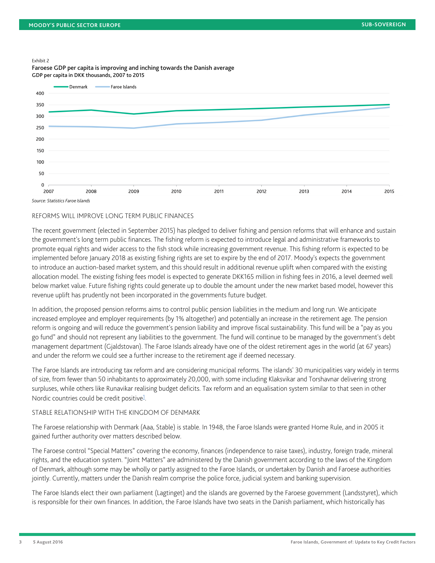#### Exhibit 2

Denmark **Faroe Islands**  $400$ 350 300 250 200 150 100 50  $\mathbf 0$ 2007 2008 2009 2010 2011 2012 2013 2014 2015

Faroese GDP per capita is improving and inching towards the Danish average GDP per capita in DKK thousands, 2007 to 2015

*Source: Statistics Faroe Islands*

#### REFORMS WILL IMPROVE LONG TERM PUBLIC FINANCES

The recent government (elected in September 2015) has pledged to deliver fishing and pension reforms that will enhance and sustain the government's long term public finances. The fishing reform is expected to introduce legal and administrative frameworks to promote equal rights and wider access to the fish stock while increasing government revenue. This fishing reform is expected to be implemented before January 2018 as existing fishing rights are set to expire by the end of 2017. Moody's expects the government to introduce an auction-based market system, and this should result in additional revenue uplift when compared with the existing allocation model. The existing fishing fees model is expected to generate DKK165 million in fishing fees in 2016, a level deemed well below market value. Future fishing rights could generate up to double the amount under the new market based model, however this revenue uplift has prudently not been incorporated in the governments future budget.

In addition, the proposed pension reforms aims to control public pension liabilities in the medium and long run. We anticipate increased employee and employer requirements (by 1% altogether) and potentially an increase in the retirement age. The pension reform is ongoing and will reduce the government's pension liability and improve fiscal sustainability. This fund will be a "pay as you go fund" and should not represent any liabilities to the government. The fund will continue to be managed by the government's debt management department (Gjaldstovan). The Faroe Islands already have one of the oldest retirement ages in the world (at 67 years) and under the reform we could see a further increase to the retirement age if deemed necessary.

The Faroe Islands are introducing tax reform and are considering municipal reforms. The islands' 30 municipalities vary widely in terms of size, from fewer than 50 inhabitants to approximately 20,000, with some including Klaksvikar and Torshavnar delivering strong surpluses, while others like Runavikar realising budget deficits. Tax reform and an equalisation system similar to that seen in other Nordic countries could be credit positive<sup>[1](#page-7-0)</sup>.

#### <span id="page-2-0"></span>STABLE RELATIONSHIP WITH THE KINGDOM OF DENMARK

The Faroese relationship with Denmark (Aaa, Stable) is stable. In 1948, the Faroe Islands were granted Home Rule, and in 2005 it gained further authority over matters described below.

The Faroese control "Special Matters" covering the economy, finances (independence to raise taxes), industry, foreign trade, mineral rights, and the education system. "Joint Matters" are administered by the Danish government according to the laws of the Kingdom of Denmark, although some may be wholly or partly assigned to the Faroe Islands, or undertaken by Danish and Faroese authorities jointly. Currently, matters under the Danish realm comprise the police force, judicial system and banking supervision.

The Faroe Islands elect their own parliament (Lagtinget) and the islands are governed by the Faroese government (Landsstyret), which is responsible for their own finances. In addition, the Faroe Islands have two seats in the Danish parliament, which historically has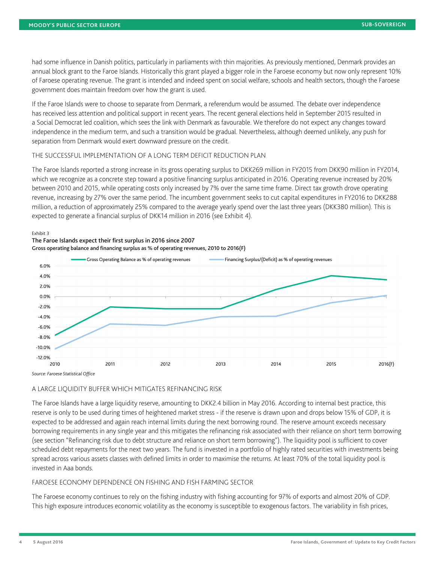had some influence in Danish politics, particularly in parliaments with thin majorities. As previously mentioned, Denmark provides an annual block grant to the Faroe Islands. Historically this grant played a bigger role in the Faroese economy but now only represent 10% of Faroese operating revenue. The grant is intended and indeed spent on social welfare, schools and health sectors, though the Faroese government does maintain freedom over how the grant is used.

If the Faroe Islands were to choose to separate from Denmark, a referendum would be assumed. The debate over independence has received less attention and political support in recent years. The recent general elections held in September 2015 resulted in a Social Democrat led coalition, which sees the link with Denmark as favourable. We therefore do not expect any changes toward independence in the medium term, and such a transition would be gradual. Nevertheless, although deemed unlikely, any push for separation from Denmark would exert downward pressure on the credit.

#### THE SUCCESSFUL IMPLEMENTATION OF A LONG TERM DEFICIT REDUCTION PLAN

The Faroe Islands reported a strong increase in its gross operating surplus to DKK269 million in FY2015 from DKK90 million in FY2014, which we recognize as a concrete step toward a positive financing surplus anticipated in 2016. Operating revenue increased by 20% between 2010 and 2015, while operating costs only increased by 7% over the same time frame. Direct tax growth drove operating revenue, increasing by 27% over the same period. The incumbent government seeks to cut capital expenditures in FY2016 to DKK288 million, a reduction of approximately 25% compared to the average yearly spend over the last three years (DKK380 million). This is expected to generate a financial surplus of DKK14 million in 2016 (see Exhibit 4).

#### Exhibit 3







A LARGE LIQUIDITY BUFFER WHICH MITIGATES REFINANCING RISK

The Faroe Islands have a large liquidity reserve, amounting to DKK2.4 billion in May 2016. According to internal best practice, this reserve is only to be used during times of heightened market stress - if the reserve is drawn upon and drops below 15% of GDP, it is expected to be addressed and again reach internal limits during the next borrowing round. The reserve amount exceeds necessary borrowing requirements in any single year and this mitigates the refinancing risk associated with their reliance on short term borrowing (see section "Refinancing risk due to debt structure and reliance on short term borrowing"). The liquidity pool is sufficient to cover scheduled debt repayments for the next two years. The fund is invested in a portfolio of highly rated securities with investments being spread across various assets classes with defined limits in order to maximise the returns. At least 70% of the total liquidity pool is invested in Aaa bonds.

#### FAROESE ECONOMY DEPENDENCE ON FISHING AND FISH FARMING SECTOR

The Faroese economy continues to rely on the fishing industry with fishing accounting for 97% of exports and almost 20% of GDP. This high exposure introduces economic volatility as the economy is susceptible to exogenous factors. The variability in fish prices,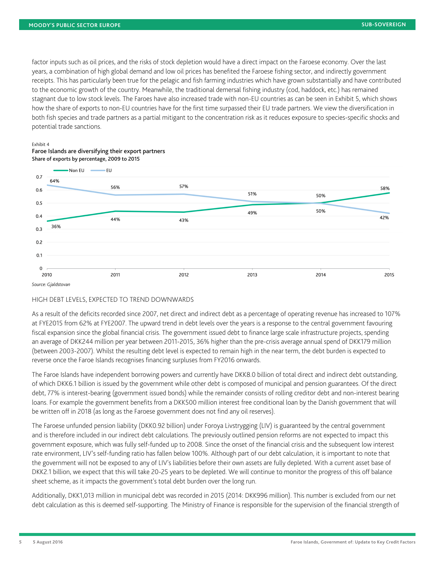factor inputs such as oil prices, and the risks of stock depletion would have a direct impact on the Faroese economy. Over the last years, a combination of high global demand and low oil prices has benefited the Faroese fishing sector, and indirectly government receipts. This has particularly been true for the pelagic and fish farming industries which have grown substantially and have contributed to the economic growth of the country. Meanwhile, the traditional demersal fishing industry (cod, haddock, etc.) has remained stagnant due to low stock levels. The Faroes have also increased trade with non-EU countries as can be seen in Exhibit 5, which shows how the share of exports to non-EU countries have for the first time surpassed their EU trade partners. We view the diversification in both fish species and trade partners as a partial mitigant to the concentration risk as it reduces exposure to species-specific shocks and potential trade sanctions.

#### Exhibit 4



# Faroe Islands are diversifying their export partners Share of exports by percentage, 2009 to 2015

*Source: Gjaldstovan*

#### HIGH DEBT LEVELS, EXPECTED TO TREND DOWNWARDS

As a result of the deficits recorded since 2007, net direct and indirect debt as a percentage of operating revenue has increased to 107% at FYE2015 from 62% at FYE2007. The upward trend in debt levels over the years is a response to the central government favouring fiscal expansion since the global financial crisis. The government issued debt to finance large scale infrastructure projects, spending an average of DKK244 million per year between 2011-2015, 36% higher than the pre-crisis average annual spend of DKK179 million (between 2003-2007). Whilst the resulting debt level is expected to remain high in the near term, the debt burden is expected to reverse once the Faroe Islands recognises financing surpluses from FY2016 onwards.

The Faroe Islands have independent borrowing powers and currently have DKK8.0 billion of total direct and indirect debt outstanding, of which DKK6.1 billion is issued by the government while other debt is composed of municipal and pension guarantees. Of the direct debt, 77% is interest-bearing (government issued bonds) while the remainder consists of rolling creditor debt and non-interest bearing loans. For example the government benefits from a DKK500 million interest free conditional loan by the Danish government that will be written off in 2018 (as long as the Faroese government does not find any oil reserves).

The Faroese unfunded pension liability (DKK0.92 billion) under Foroya Livstrygging (LIV) is guaranteed by the central government and is therefore included in our indirect debt calculations. The previously outlined pension reforms are not expected to impact this government exposure, which was fully self-funded up to 2008. Since the onset of the financial crisis and the subsequent low interest rate environment, LIV's self-funding ratio has fallen below 100%. Although part of our debt calculation, it is important to note that the government will not be exposed to any of LIV's liabilities before their own assets are fully depleted. With a current asset base of DKK2.1 billion, we expect that this will take 20-25 years to be depleted. We will continue to monitor the progress of this off balance sheet scheme, as it impacts the government's total debt burden over the long run.

Additionally, DKK1,013 million in municipal debt was recorded in 2015 (2014: DKK996 million). This number is excluded from our net debt calculation as this is deemed self-supporting. The Ministry of Finance is responsible for the supervision of the financial strength of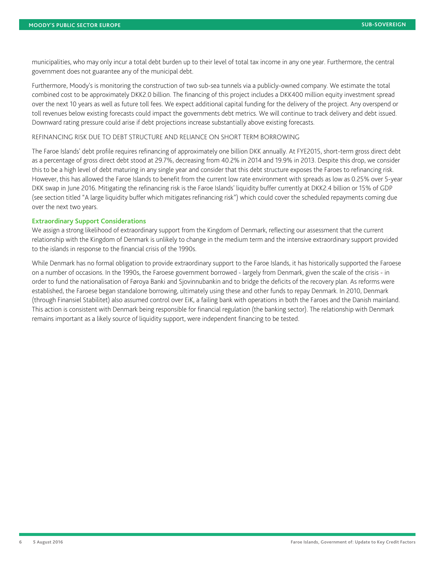municipalities, who may only incur a total debt burden up to their level of total tax income in any one year. Furthermore, the central government does not guarantee any of the municipal debt.

Furthermore, Moody's is monitoring the construction of two sub-sea tunnels via a publicly-owned company. We estimate the total combined cost to be approximately DKK2.0 billion. The financing of this project includes a DKK400 million equity investment spread over the next 10 years as well as future toll fees. We expect additional capital funding for the delivery of the project. Any overspend or toll revenues below existing forecasts could impact the governments debt metrics. We will continue to track delivery and debt issued. Downward rating pressure could arise if debt projections increase substantially above existing forecasts.

#### REFINANCING RISK DUE TO DEBT STRUCTURE AND RELIANCE ON SHORT TERM BORROWING

The Faroe Islands' debt profile requires refinancing of approximately one billion DKK annually. At FYE2015, short-term gross direct debt as a percentage of gross direct debt stood at 29.7%, decreasing from 40.2% in 2014 and 19.9% in 2013. Despite this drop, we consider this to be a high level of debt maturing in any single year and consider that this debt structure exposes the Faroes to refinancing risk. However, this has allowed the Faroe Islands to benefit from the current low rate environment with spreads as low as 0.25% over 5-year DKK swap in June 2016. Mitigating the refinancing risk is the Faroe Islands' liquidity buffer currently at DKK2.4 billion or 15% of GDP (see section titled "A large liquidity buffer which mitigates refinancing risk") which could cover the scheduled repayments coming due over the next two years.

#### **Extraordinary Support Considerations**

We assign a strong likelihood of extraordinary support from the Kingdom of Denmark, reflecting our assessment that the current relationship with the Kingdom of Denmark is unlikely to change in the medium term and the intensive extraordinary support provided to the islands in response to the financial crisis of the 1990s.

While Denmark has no formal obligation to provide extraordinary support to the Faroe Islands, it has historically supported the Faroese on a number of occasions. In the 1990s, the Faroese government borrowed - largely from Denmark, given the scale of the crisis - in order to fund the nationalisation of Føroya Banki and Sjovinnubankin and to bridge the deficits of the recovery plan. As reforms were established, the Faroese began standalone borrowing, ultimately using these and other funds to repay Denmark. In 2010, Denmark (through Finansiel Stabilitet) also assumed control over EiK, a failing bank with operations in both the Faroes and the Danish mainland. This action is consistent with Denmark being responsible for financial regulation (the banking sector). The relationship with Denmark remains important as a likely source of liquidity support, were independent financing to be tested.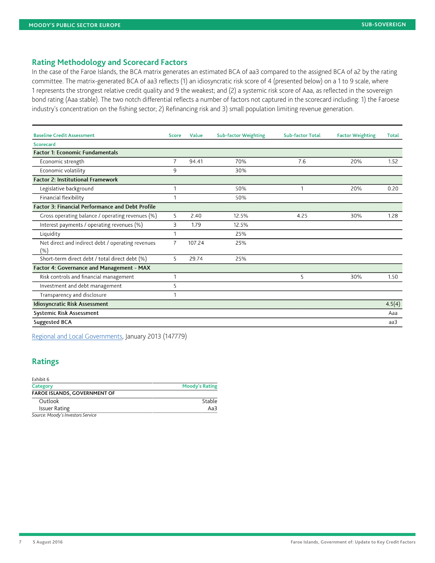#### **Rating Methodology and Scorecard Factors**

In the case of the Faroe Islands, the BCA matrix generates an estimated BCA of aa3 compared to the assigned BCA of a2 by the rating committee. The matrix-generated BCA of aa3 reflects (1) an idiosyncratic risk score of 4 (presented below) on a 1 to 9 scale, where 1 represents the strongest relative credit quality and 9 the weakest; and (2) a systemic risk score of Aaa, as reflected in the sovereign bond rating (Aaa stable). The two notch differential reflects a number of factors not captured in the scorecard including: 1) the Faroese industry's concentration on the fishing sector; 2) Refinancing risk and 3) small population limiting revenue generation.

| <b>Baseline Credit Assessment</b>                           | <b>Score</b>   | <b>Value</b> | <b>Sub-factor Weighting</b> | <b>Sub-factor Total</b> | <b>Factor Weighting</b> | <b>Total</b> |
|-------------------------------------------------------------|----------------|--------------|-----------------------------|-------------------------|-------------------------|--------------|
| <b>Scorecard</b>                                            |                |              |                             |                         |                         |              |
| <b>Factor 1: Economic Fundamentals</b>                      |                |              |                             |                         |                         |              |
| Economic strength                                           | 7              | 94.41        | 70%                         | 7.6                     | 20%                     | 1.52         |
| Economic volatility                                         | 9              |              | 30%                         |                         |                         |              |
| <b>Factor 2: Institutional Framework</b>                    |                |              |                             |                         |                         |              |
| Legislative background                                      |                |              | 50%                         |                         | 20%                     | 0.20         |
| Financial flexibility                                       |                |              | 50%                         |                         |                         |              |
| <b>Factor 3: Financial Performance and Debt Profile</b>     |                |              |                             |                         |                         |              |
| Gross operating balance / operating revenues (%)            | 5              | 2.40         | 12.5%                       | 4.25                    | 30%                     | 1.28         |
| Interest payments / operating revenues (%)                  | 3              | 1.79         | 12.5%                       |                         |                         |              |
| Liquidity                                                   |                |              | 25%                         |                         |                         |              |
| Net direct and indirect debt / operating revenues<br>$(\%)$ | $\overline{7}$ | 107.24       | 25%                         |                         |                         |              |
| Short-term direct debt / total direct debt (%)              | 5.             | 29.74        | 25%                         |                         |                         |              |
| Factor 4: Governance and Management - MAX                   |                |              |                             |                         |                         |              |
| Risk controls and financial management                      |                |              |                             | 5                       | 30%                     | 1.50         |
| Investment and debt management                              | 5              |              |                             |                         |                         |              |
| Transparency and disclosure                                 |                |              |                             |                         |                         |              |
| <b>Idiosyncratic Risk Assessment</b>                        |                |              |                             |                         |                         | 4.5(4)       |
| <b>Systemic Risk Assessment</b>                             |                |              |                             |                         |                         | Aaa          |
| <b>Suggested BCA</b>                                        |                |              |                             |                         |                         | aa3          |

[Regional and Local Governments](https://www.moodys.com/researchdocumentcontentpage.aspx?docid=PBC_147779), January 2013 (147779)

# **Ratings**

| Exhibit 6                           |                       |
|-------------------------------------|-----------------------|
| Category                            | <b>Moody's Rating</b> |
| <b>FAROE ISLANDS, GOVERNMENT OF</b> |                       |
| Outlook                             | Stable                |
| <b>Issuer Rating</b>                | Aa $3$                |
| Course Moodu's Investors Convice    |                       |

*Source: Moody's Investors Service*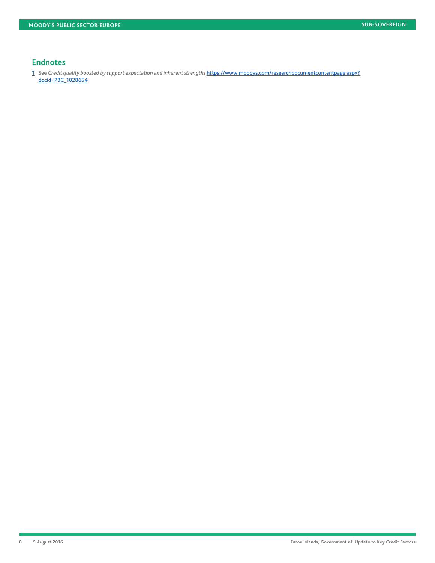#### **Endnotes**

<span id="page-7-0"></span>[1](#page-2-0) See Credit quality boosted by support expectation and inherent strengths [https://www.moodys.com/researchdocumentcontentpage.aspx?](https://www.moodys.com/researchdocumentcontentpage.aspx?docid=PBC_1028654) [docid=PBC\\_1028654](https://www.moodys.com/researchdocumentcontentpage.aspx?docid=PBC_1028654)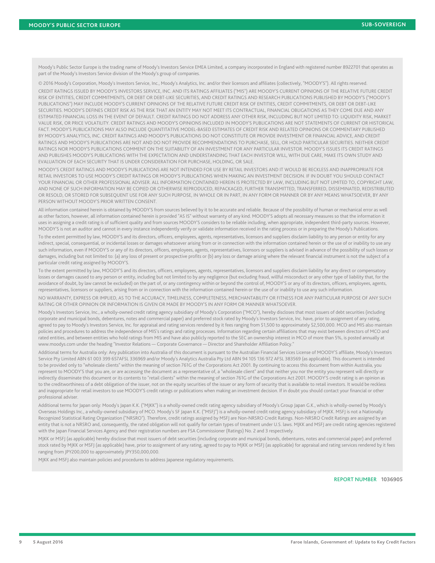Moody's Public Sector Europe is the trading name of Moody's Investors Service EMEA Limited, a company incorporated in England with registered number 8922701 that operates as part of the Moody's Investors Service division of the Moody's group of companies.

© 2016 Moody's Corporation, Moody's Investors Service, Inc., Moody's Analytics, Inc. and/or their licensors and affiliates (collectively, "MOODY'S"). All rights reserved. CREDIT RATINGS ISSUED BY MOODY'S INVESTORS SERVICE, INC. AND ITS RATINGS AFFILIATES ("MIS") ARE MOODY'S CURRENT OPINIONS OF THE RELATIVE FUTURE CREDIT RISK OF ENTITIES, CREDIT COMMITMENTS, OR DEBT OR DEBT-LIKE SECURITIES, AND CREDIT RATINGS AND RESEARCH PUBLICATIONS PUBLISHED BY MOODY'S ("MOODY'S PUBLICATIONS") MAY INCLUDE MOODY'S CURRENT OPINIONS OF THE RELATIVE FUTURE CREDIT RISK OF ENTITIES, CREDIT COMMITMENTS, OR DEBT OR DEBT-LIKE SECURITIES. MOODY'S DEFINES CREDIT RISK AS THE RISK THAT AN ENTITY MAY NOT MEET ITS CONTRACTUAL, FINANCIAL OBLIGATIONS AS THEY COME DUE AND ANY ESTIMATED FINANCIAL LOSS IN THE EVENT OF DEFAULT. CREDIT RATINGS DO NOT ADDRESS ANY OTHER RISK, INCLUDING BUT NOT LIMITED TO: LIQUIDITY RISK, MARKET VALUE RISK, OR PRICE VOLATILITY. CREDIT RATINGS AND MOODY'S OPINIONS INCLUDED IN MOODY'S PUBLICATIONS ARE NOT STATEMENTS OF CURRENT OR HISTORICAL FACT. MOODY'S PUBLICATIONS MAY ALSO INCLUDE QUANTITATIVE MODEL-BASED ESTIMATES OF CREDIT RISK AND RELATED OPINIONS OR COMMENTARY PUBLISHED BY MOODY'S ANALYTICS, INC. CREDIT RATINGS AND MOODY'S PUBLICATIONS DO NOT CONSTITUTE OR PROVIDE INVESTMENT OR FINANCIAL ADVICE, AND CREDIT RATINGS AND MOODY'S PUBLICATIONS ARE NOT AND DO NOT PROVIDE RECOMMENDATIONS TO PURCHASE, SELL, OR HOLD PARTICULAR SECURITIES. NEITHER CREDIT RATINGS NOR MOODY'S PUBLICATIONS COMMENT ON THE SUITABILITY OF AN INVESTMENT FOR ANY PARTICULAR INVESTOR. MOODY'S ISSUES ITS CREDIT RATINGS AND PUBLISHES MOODY'S PUBLICATIONS WITH THE EXPECTATION AND UNDERSTANDING THAT EACH INVESTOR WILL, WITH DUE CARE, MAKE ITS OWN STUDY AND EVALUATION OF EACH SECURITY THAT IS UNDER CONSIDERATION FOR PURCHASE, HOLDING, OR SALE.

MOODY'S CREDIT RATINGS AND MOODY'S PUBLICATIONS ARE NOT INTENDED FOR USE BY RETAIL INVESTORS AND IT WOULD BE RECKLESS AND INAPPROPRIATE FOR RETAIL INVESTORS TO USE MOODY'S CREDIT RATINGS OR MOODY'S PUBLICATIONS WHEN MAKING AN INVESTMENT DECISION. IF IN DOUBT YOU SHOULD CONTACT YOUR FINANCIAL OR OTHER PROFESSIONAL ADVISER. ALL INFORMATION CONTAINED HEREIN IS PROTECTED BY LAW, INCLUDING BUT NOT LIMITED TO, COPYRIGHT LAW, AND NONE OF SUCH INFORMATION MAY BE COPIED OR OTHERWISE REPRODUCED, REPACKAGED, FURTHER TRANSMITTED, TRANSFERRED, DISSEMINATED, REDISTRIBUTED OR RESOLD, OR STORED FOR SUBSEQUENT USE FOR ANY SUCH PURPOSE, IN WHOLE OR IN PART, IN ANY FORM OR MANNER OR BY ANY MEANS WHATSOEVER, BY ANY PERSON WITHOUT MOODY'S PRIOR WRITTEN CONSENT.

All information contained herein is obtained by MOODY'S from sources believed by it to be accurate and reliable. Because of the possibility of human or mechanical error as well as other factors, however, all information contained herein is provided "AS IS" without warranty of any kind. MOODY'S adopts all necessary measures so that the information it uses in assigning a credit rating is of sufficient quality and from sources MOODY'S considers to be reliable including, when appropriate, independent third-party sources. However, MOODY'S is not an auditor and cannot in every instance independently verify or validate information received in the rating process or in preparing the Moody's Publications.

To the extent permitted by law, MOODY'S and its directors, officers, employees, agents, representatives, licensors and suppliers disclaim liability to any person or entity for any indirect, special, consequential, or incidental losses or damages whatsoever arising from or in connection with the information contained herein or the use of or inability to use any such information, even if MOODY'S or any of its directors, officers, employees, agents, representatives, licensors or suppliers is advised in advance of the possibility of such losses or damages, including but not limited to: (a) any loss of present or prospective profits or (b) any loss or damage arising where the relevant financial instrument is not the subject of a particular credit rating assigned by MOODY'S.

To the extent permitted by law, MOODY'S and its directors, officers, employees, agents, representatives, licensors and suppliers disclaim liability for any direct or compensatory losses or damages caused to any person or entity, including but not limited to by any negligence (but excluding fraud, willful misconduct or any other type of liability that, for the avoidance of doubt, by law cannot be excluded) on the part of, or any contingency within or beyond the control of, MOODY'S or any of its directors, officers, employees, agents, representatives, licensors or suppliers, arising from or in connection with the information contained herein or the use of or inability to use any such information.

NO WARRANTY, EXPRESS OR IMPLIED, AS TO THE ACCURACY, TIMELINESS, COMPLETENESS, MERCHANTABILITY OR FITNESS FOR ANY PARTICULAR PURPOSE OF ANY SUCH RATING OR OTHER OPINION OR INFORMATION IS GIVEN OR MADE BY MOODY'S IN ANY FORM OR MANNER WHATSOEVER.

Moody's Investors Service, Inc., a wholly-owned credit rating agency subsidiary of Moody's Corporation ("MCO"), hereby discloses that most issuers of debt securities (including corporate and municipal bonds, debentures, notes and commercial paper) and preferred stock rated by Moody's Investors Service, Inc. have, prior to assignment of any rating, agreed to pay to Moody's Investors Service, Inc. for appraisal and rating services rendered by it fees ranging from \$1,500 to approximately \$2,500,000. MCO and MIS also maintain policies and procedures to address the independence of MIS's ratings and rating processes. Information regarding certain affiliations that may exist between directors of MCO and rated entities, and between entities who hold ratings from MIS and have also publicly reported to the SEC an ownership interest in MCO of more than 5%, is posted annually at www.moodys.com under the heading "Investor Relations — Corporate Governance — Director and Shareholder Affiliation Policy."

Additional terms for Australia only: Any publication into Australia of this document is pursuant to the Australian Financial Services License of MOODY'S affiliate, Moody's Investors Service Pty Limited ABN 61 003 399 657AFSL 336969 and/or Moody's Analytics Australia Pty Ltd ABN 94 105 136 972 AFSL 383569 (as applicable). This document is intended to be provided only to "wholesale clients" within the meaning of section 761G of the Corporations Act 2001. By continuing to access this document from within Australia, you represent to MOODY'S that you are, or are accessing the document as a representative of, a "wholesale client" and that neither you nor the entity you represent will directly or indirectly disseminate this document or its contents to "retail clients" within the meaning of section 761G of the Corporations Act 2001. MOODY'S credit rating is an opinion as to the creditworthiness of a debt obligation of the issuer, not on the equity securities of the issuer or any form of security that is available to retail investors. It would be reckless and inappropriate for retail investors to use MOODY'S credit ratings or publications when making an investment decision. If in doubt you should contact your financial or other professional adviser.

Additional terms for Japan only: Moody's Japan K.K. ("MJKK") is a wholly-owned credit rating agency subsidiary of Moody's Group Japan G.K., which is wholly-owned by Moody's Overseas Holdings Inc., a wholly-owned subsidiary of MCO. Moody's SF Japan K.K. ("MSFJ") is a wholly-owned credit rating agency subsidiary of MJKK. MSFJ is not a Nationally Recognized Statistical Rating Organization ("NRSRO"). Therefore, credit ratings assigned by MSFJ are Non-NRSRO Credit Ratings. Non-NRSRO Credit Ratings are assigned by an entity that is not a NRSRO and, consequently, the rated obligation will not qualify for certain types of treatment under U.S. laws. MJKK and MSFJ are credit rating agencies registered with the Japan Financial Services Agency and their registration numbers are FSA Commissioner (Ratings) No. 2 and 3 respectively.

MJKK or MSFJ (as applicable) hereby disclose that most issuers of debt securities (including corporate and municipal bonds, debentures, notes and commercial paper) and preferred stock rated by MJKK or MSFJ (as applicable) have, prior to assignment of any rating, agreed to pay to MJKK or MSFJ (as applicable) for appraisal and rating services rendered by it fees ranging from JPY200,000 to approximately JPY350,000,000.

MJKK and MSFJ also maintain policies and procedures to address Japanese regulatory requirements.

REPORT NUMBER **1036905**